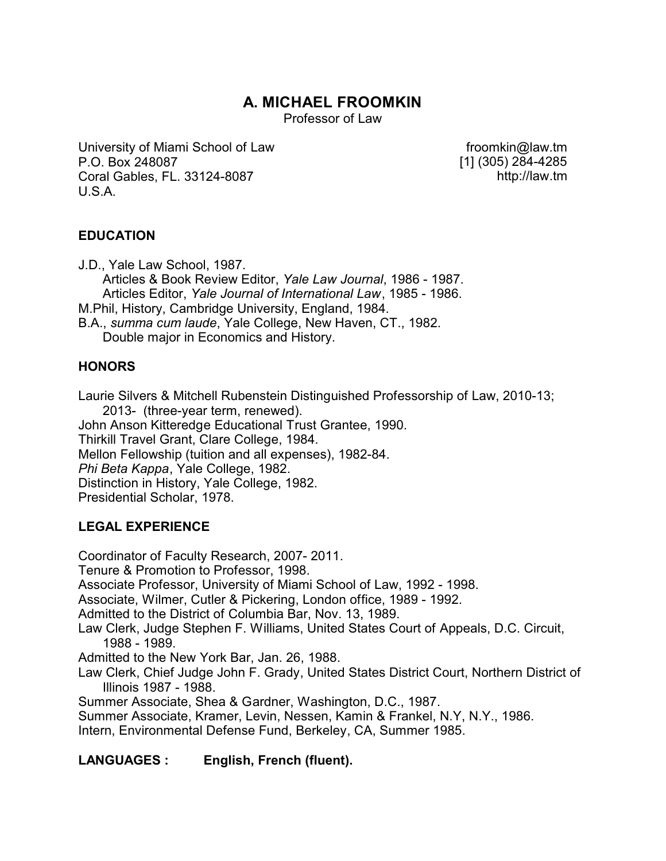# **A. MICHAEL FROOMKIN**

Professor of Law

University of Miami School of Law P.O. Box 248087 Coral Gables, FL. 33124-8087 U.S.A.

froomkin@law.tm [1] (305) 284-4285 http://law.tm

## **EDUCATION**

J.D., Yale Law School, 1987. Articles & Book Review Editor, *Yale Law Journal*, 1986 - 1987. Articles Editor, *Yale Journal of International Law*, 1985 - 1986. M.Phil, History, Cambridge University, England, 1984. B.A., *summa cum laude*, Yale College, New Haven, CT., 1982. Double major in Economics and History.

## **HONORS**

Laurie Silvers & Mitchell Rubenstein Distinguished Professorship of Law, 2010-13; 2013- (three-year term, renewed). John Anson Kitteredge Educational Trust Grantee, 1990. Thirkill Travel Grant, Clare College, 1984. Mellon Fellowship (tuition and all expenses), 1982-84. *Phi Beta Kappa*, Yale College, 1982. Distinction in History, Yale College, 1982. Presidential Scholar, 1978.

# **LEGAL EXPERIENCE**

Coordinator of Faculty Research, 2007- 2011. Tenure & Promotion to Professor, 1998. Associate Professor, University of Miami School of Law, 1992 - 1998. Associate, Wilmer, Cutler & Pickering, London office, 1989 - 1992. Admitted to the District of Columbia Bar, Nov. 13, 1989. Law Clerk, Judge Stephen F. Williams, United States Court of Appeals, D.C. Circuit, 1988 - 1989. Admitted to the New York Bar, Jan. 26, 1988. Law Clerk, Chief Judge John F. Grady, United States District Court, Northern District of Illinois 1987 - 1988. Summer Associate, Shea & Gardner, Washington, D.C., 1987. Summer Associate, Kramer, Levin, Nessen, Kamin & Frankel, N.Y, N.Y., 1986. Intern, Environmental Defense Fund, Berkeley, CA, Summer 1985. **LANGUAGES : English, French (fluent).**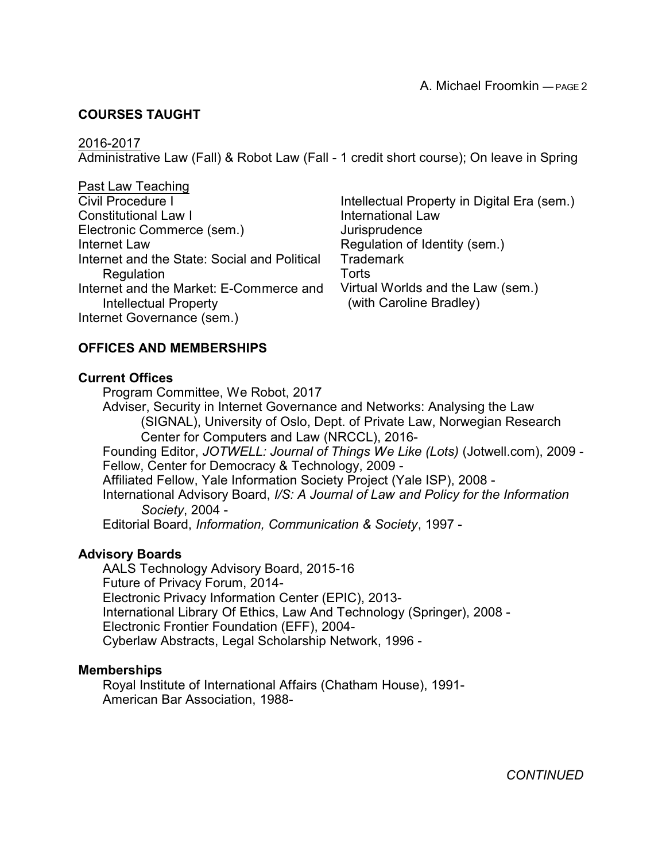## **COURSES TAUGHT**

#### 2016-2017

Administrative Law (Fall) & Robot Law (Fall - 1 credit short course); On leave in Spring

Past Law Teaching Civil Procedure I Constitutional Law I Electronic Commerce (sem.) Internet Law Internet and the State: Social and Political **Regulation** Internet and the Market: E-Commerce and Intellectual Property Internet Governance (sem.)

Intellectual Property in Digital Era (sem.) International Law **Jurisprudence** Regulation of Identity (sem.) Trademark **Torts** Virtual Worlds and the Law (sem.) (with Caroline Bradley)

#### **OFFICES AND MEMBERSHIPS**

#### **Current Offices**

Program Committee, We Robot, 2017 Adviser, Security in Internet Governance and Networks: Analysing the Law

(SIGNAL), University of Oslo, Dept. of Private Law, Norwegian Research Center for Computers and Law (NRCCL), 2016-

Founding Editor, *JOTWELL: Journal of Things We Like (Lots)* (Jotwell.com), 2009 - Fellow, Center for Democracy & Technology, 2009 -

Affiliated Fellow, Yale Information Society Project (Yale ISP), 2008 -

International Advisory Board, *I/S: A Journal of Law and Policy for the Information Society*, 2004 -

Editorial Board, *Information, Communication & Society*, 1997 -

#### **Advisory Boards**

AALS Technology Advisory Board, 2015-16 Future of Privacy Forum, 2014- Electronic Privacy Information Center (EPIC), 2013- International Library Of Ethics, Law And Technology (Springer), 2008 - Electronic Frontier Foundation (EFF), 2004- Cyberlaw Abstracts, Legal Scholarship Network, 1996 -

#### **Memberships**

Royal Institute of International Affairs (Chatham House), 1991- American Bar Association, 1988-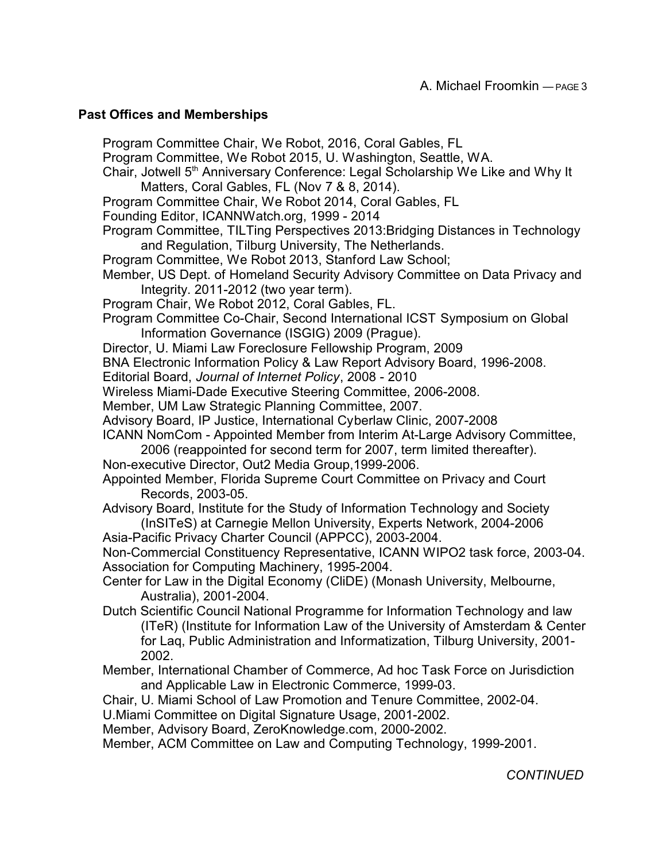#### **Past Offices and Memberships**

Program Committee Chair, We Robot, 2016, Coral Gables, FL Program Committee, We Robot 2015, U. Washington, Seattle, WA. Chair, Jotwell 5<sup>th</sup> Anniversary Conference: Legal Scholarship We Like and Why It Matters, Coral Gables, FL (Nov 7 & 8, 2014). Program Committee Chair, We Robot 2014, Coral Gables, FL Founding Editor, ICANNWatch.org, 1999 - 2014 Program Committee, TILTing Perspectives 2013:Bridging Distances in Technology and Regulation, Tilburg University, The Netherlands. Program Committee, We Robot 2013, Stanford Law School; Member, US Dept. of Homeland Security Advisory Committee on Data Privacy and Integrity. 2011-2012 (two year term). Program Chair, We Robot 2012, Coral Gables, FL. Program Committee Co-Chair, Second International ICST Symposium on Global Information Governance (ISGIG) 2009 (Prague). Director, U. Miami Law Foreclosure Fellowship Program, 2009 BNA Electronic Information Policy & Law Report Advisory Board, 1996-2008. Editorial Board, *Journal of Internet Policy*, 2008 - 2010 Wireless Miami-Dade Executive Steering Committee, 2006-2008. Member, UM Law Strategic Planning Committee, 2007. Advisory Board, IP Justice, International Cyberlaw Clinic, 2007-2008 ICANN NomCom - Appointed Member from Interim At-Large Advisory Committee, 2006 (reappointed for second term for 2007, term limited thereafter). Non-executive Director, Out2 Media Group,1999-2006. Appointed Member, Florida Supreme Court Committee on Privacy and Court Records, 2003-05. Advisory Board, Institute for the Study of Information Technology and Society (InSITeS) at Carnegie Mellon University, Experts Network, 2004-2006 Asia-Pacific Privacy Charter Council (APPCC), 2003-2004. Non-Commercial Constituency Representative, ICANN WIPO2 task force, 2003-04. Association for Computing Machinery, 1995-2004. Center for Law in the Digital Economy (CliDE) (Monash University, Melbourne, Australia), 2001-2004. Dutch Scientific Council National Programme for Information Technology and law (ITeR) (Institute for Information Law of the University of Amsterdam & Center for Laq, Public Administration and Informatization, Tilburg University, 2001- 2002. Member, International Chamber of Commerce, Ad hoc Task Force on Jurisdiction and Applicable Law in Electronic Commerce, 1999-03. Chair, U. Miami School of Law Promotion and Tenure Committee, 2002-04. U.Miami Committee on Digital Signature Usage, 2001-2002. Member, Advisory Board, ZeroKnowledge.com, 2000-2002. Member, ACM Committee on Law and Computing Technology, 1999-2001.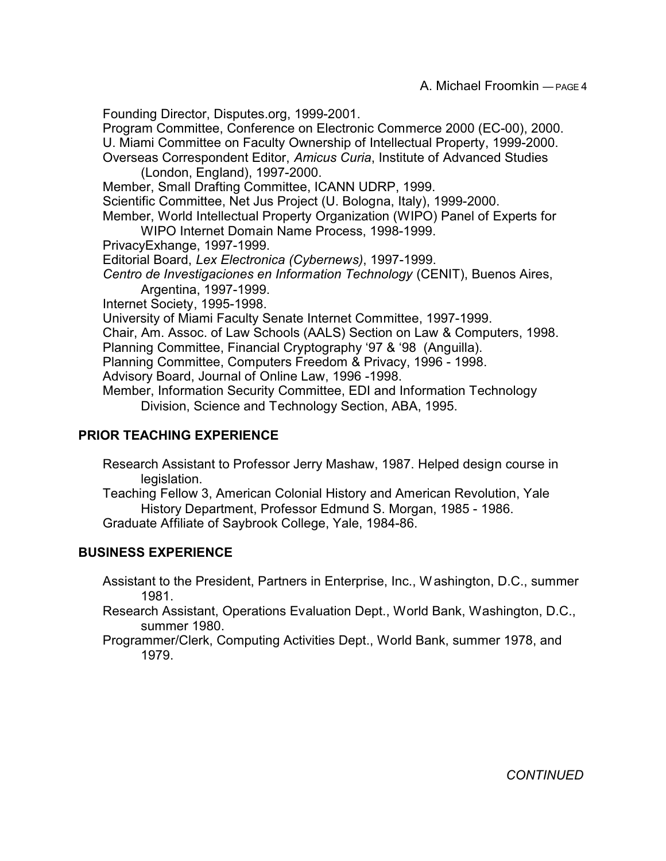Founding Director, Disputes.org, 1999-2001.

Program Committee, Conference on Electronic Commerce 2000 (EC-00), 2000. U. Miami Committee on Faculty Ownership of Intellectual Property, 1999-2000. Overseas Correspondent Editor, *Amicus Curia*, Institute of Advanced Studies

(London, England), 1997-2000.

Member, Small Drafting Committee, ICANN UDRP, 1999.

Scientific Committee, Net Jus Project (U. Bologna, Italy), 1999-2000.

Member, World Intellectual Property Organization (WIPO) Panel of Experts for WIPO Internet Domain Name Process, 1998-1999.

PrivacyExhange, 1997-1999.

Editorial Board, *Lex Electronica (Cybernews)*, 1997-1999.

*Centro de Investigaciones en Information Technology* (CENIT), Buenos Aires, Argentina, 1997-1999.

Internet Society, 1995-1998.

University of Miami Faculty Senate Internet Committee, 1997-1999.

Chair, Am. Assoc. of Law Schools (AALS) Section on Law & Computers, 1998.

Planning Committee, Financial Cryptography '97 & '98 (Anguilla).

Planning Committee, Computers Freedom & Privacy, 1996 - 1998.

Advisory Board, Journal of Online Law, 1996 -1998.

Member, Information Security Committee, EDI and Information Technology Division, Science and Technology Section, ABA, 1995.

## **PRIOR TEACHING EXPERIENCE**

Research Assistant to Professor Jerry Mashaw, 1987. Helped design course in legislation.

Teaching Fellow 3, American Colonial History and American Revolution, Yale History Department, Professor Edmund S. Morgan, 1985 - 1986. Graduate Affiliate of Saybrook College, Yale, 1984-86.

#### **BUSINESS EXPERIENCE**

Assistant to the President, Partners in Enterprise, Inc., Washington, D.C., summer 1981.

Research Assistant, Operations Evaluation Dept., World Bank, Washington, D.C., summer 1980.

Programmer/Clerk, Computing Activities Dept., World Bank, summer 1978, and 1979.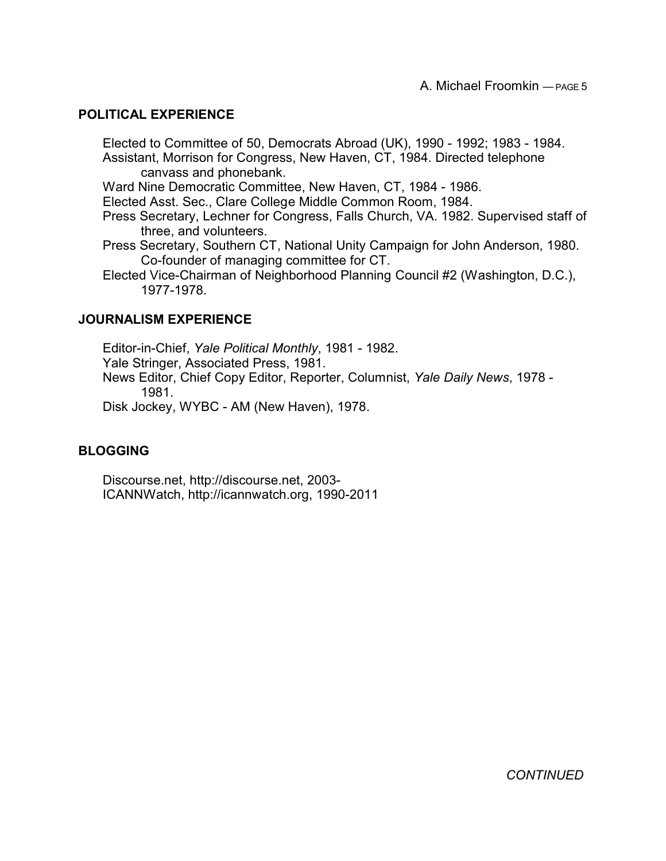#### **POLITICAL EXPERIENCE**

Elected to Committee of 50, Democrats Abroad (UK), 1990 - 1992; 1983 - 1984. Assistant, Morrison for Congress, New Haven, CT, 1984. Directed telephone canvass and phonebank.

Ward Nine Democratic Committee, New Haven, CT, 1984 - 1986.

Elected Asst. Sec., Clare College Middle Common Room, 1984.

- Press Secretary, Lechner for Congress, Falls Church, VA. 1982. Supervised staff of three, and volunteers.
- Press Secretary, Southern CT, National Unity Campaign for John Anderson, 1980. Co-founder of managing committee for CT.
- Elected Vice-Chairman of Neighborhood Planning Council #2 (Washington, D.C.), 1977-1978.

#### **JOURNALISM EXPERIENCE**

Editor-in-Chief, *Yale Political Monthly*, 1981 - 1982. Yale Stringer, Associated Press, 1981. News Editor, Chief Copy Editor, Reporter, Columnist, *Yale Daily News*, 1978 - 1981.

Disk Jockey, WYBC - AM (New Haven), 1978.

#### **BLOGGING**

Discourse.net, http://discourse.net, 2003- ICANNWatch, http://icannwatch.org, 1990-2011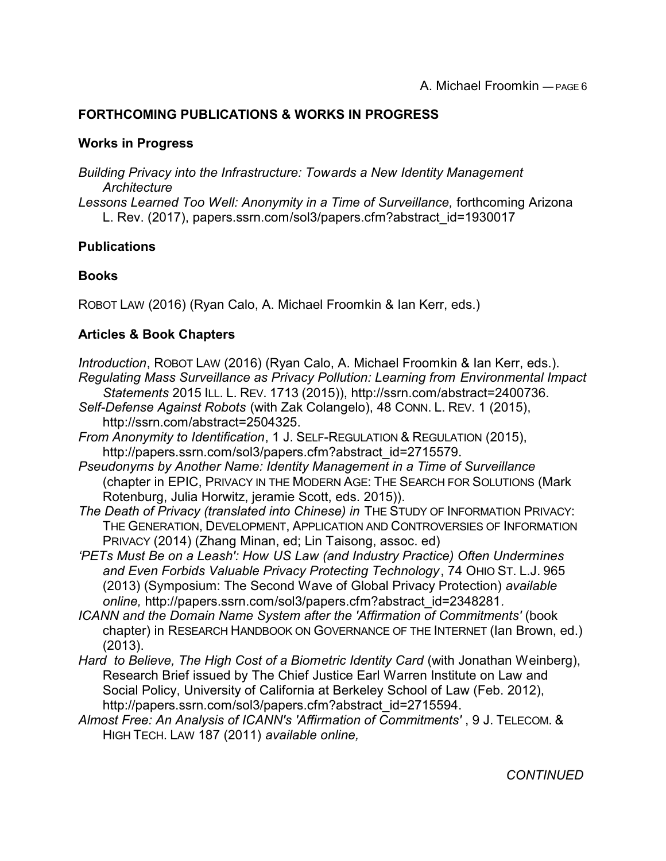# **FORTHCOMING PUBLICATIONS & WORKS IN PROGRESS**

## **Works in Progress**

*Building Privacy into the Infrastructure: Towards a New Identity Management Architecture Lessons Learned Too Well: Anonymity in a Time of Surveillance,* forthcoming Arizona L. Rev. (2017), papers.ssrn.com/sol3/papers.cfm?abstract\_id=1930017

## **Publications**

#### **Books**

ROBOT LAW (2016) (Ryan Calo, A. Michael Froomkin & Ian Kerr, eds.)

# **Articles & Book Chapters**

*'Introduction*, ROBOT LAW (2016) (Ryan Calo, A. Michael Froomkin & Ian Kerr, eds.). *Regulating Mass Surveillance as Privacy Pollution: Learning from Environmental Impact Statements* 2015 ILL. L. REV. 1713 (2015)), http://ssrn.com/abstract=2400736. *Self-Defense Against Robots* (with Zak Colangelo), 48 CONN. L. REV. 1 (2015), http://ssrn.com/abstract=2504325. *From Anonymity to Identification*, 1 J. SELF-REGULATION & REGULATION (2015), http://papers.ssrn.com/sol3/papers.cfm?abstract\_id=2715579. *Pseudonyms by Another Name: Identity Management in a Time of Surveillance*

(chapter in EPIC, PRIVACY IN THE MODERN AGE: THE SEARCH FOR SOLUTIONS (Mark Rotenburg, Julia Horwitz, jeramie Scott, eds. 2015)).

The Death of Privacy (translated into Chinese) in THE STUDY OF INFORMATION PRIVACY: THE GENERATION, DEVELOPMENT, APPLICATION AND CONTROVERSIES OF INFORMATION PRIVACY (2014) (Zhang Minan, ed; Lin Taisong, assoc. ed)

*'PETs Must Be on a Leash': How US Law (and Industry Practice) Often Undermines and Even Forbids Valuable Privacy Protecting Technology*, 74 OHIO ST. L.J. 965 (2013) (Symposium: The Second Wave of Global Privacy Protection) *available online,* http://papers.ssrn.com/sol3/papers.cfm?abstract\_id=2348281*.*

*ICANN and the Domain Name System after the 'Affirmation of Commitments'* (book chapter) in RESEARCH HANDBOOK ON GOVERNANCE OF THE INTERNET (Ian Brown, ed.) (2013).

*Hard to Believe, The High Cost of a Biometric Identity Card* (with Jonathan Weinberg), Research Brief issued by The Chief Justice Earl Warren Institute on Law and Social Policy, University of California at Berkeley School of Law (Feb. 2012), http://papers.ssrn.com/sol3/papers.cfm?abstract\_id=2715594.

*Almost Free: An Analysis of ICANN's 'Affirmation of Commitments'* , 9 J. TELECOM. & HIGH TECH. LAW 187 (2011) *available online,*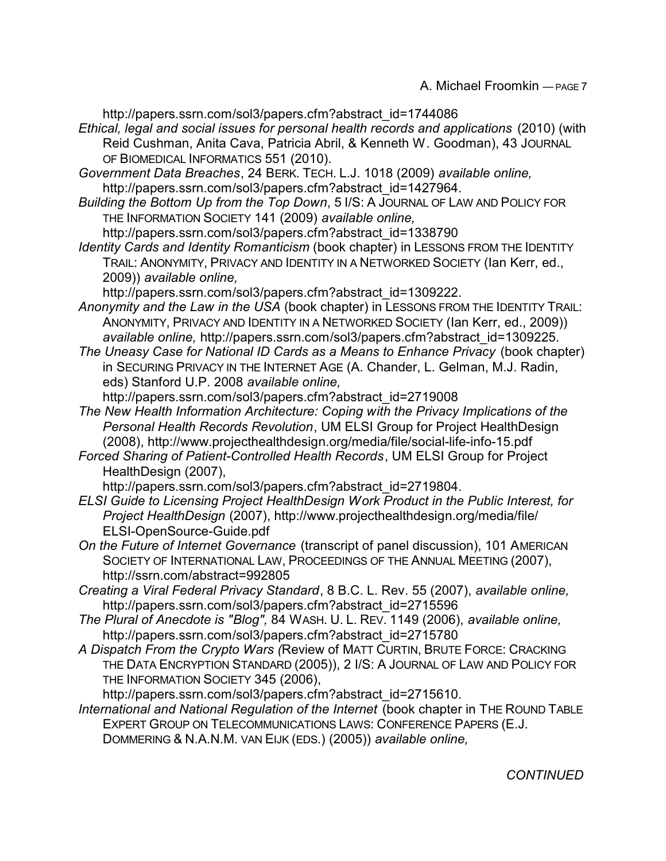http://papers.ssrn.com/sol3/papers.cfm?abstract\_id=1744086

- *Ethical, legal and social issues for personal health records and applications* (2010) (with Reid Cushman, Anita Cava, Patricia Abril, & Kenneth W. Goodman), 43 JOURNAL OF BIOMEDICAL INFORMATICS 551 (2010).
- *Government Data Breaches*, 24 BERK. TECH. L.J. 1018 (2009) *available online,* http://papers.ssrn.com/sol3/papers.cfm?abstract\_id=1427964.
- *Building the Bottom Up from the Top Down*, 5 I/S: A JOURNAL OF LAW AND POLICY FOR THE INFORMATION SOCIETY 141 (2009) *available online,*

http://papers.ssrn.com/sol3/papers.cfm?abstract\_id=1338790

*Identity Cards and Identity Romanticism* (book chapter) in LESSONS FROM THE IDENTITY TRAIL: ANONYMITY, PRIVACY AND IDENTITY IN A NETWORKED SOCIETY (Ian Kerr, ed., 2009)) *available online,*

http://papers.ssrn.com/sol3/papers.cfm?abstract\_id=1309222.

- *Anonymity and the Law in the USA* (book chapter) in LESSONS FROM THE IDENTITY TRAIL: ANONYMITY, PRIVACY AND IDENTITY IN A NETWORKED SOCIETY (Ian Kerr, ed., 2009)) *available online,* http://papers.ssrn.com/sol3/papers.cfm?abstract\_id=1309225.
- *The Uneasy Case for National ID Cards as a Means to Enhance Privacy* (book chapter) in SECURING PRIVACY IN THE INTERNET AGE (A. Chander, L. Gelman, M.J. Radin, eds) Stanford U.P. 2008 *available online,*

http://papers.ssrn.com/sol3/papers.cfm?abstract\_id=2719008

- *The New Health Information Architecture: Coping with the Privacy Implications of the Personal Health Records Revolution*, UM ELSI Group for Project HealthDesign (2008), http://www.projecthealthdesign.org/media/file/social-life-info-15.pdf
- *Forced Sharing of Patient-Controlled Health Records*, UM ELSI Group for Project HealthDesign (2007),

http://papers.ssrn.com/sol3/papers.cfm?abstract\_id=2719804.

- *ELSI Guide to Licensing Project HealthDesign Work Product in the Public Interest, for Project HealthDesign* (2007), http://www.projecthealthdesign.org/media/file/ ELSI-OpenSource-Guide.pdf
- *On the Future of Internet Governance* (transcript of panel discussion), 101 AMERICAN SOCIETY OF INTERNATIONAL LAW, PROCEEDINGS OF THE ANNUAL MEETING (2007), http://ssrn.com/abstract=992805
- *Creating a Viral Federal Privacy Standard*, 8 B.C. L. Rev. 55 (2007), *available online,* http://papers.ssrn.com/sol3/papers.cfm?abstract\_id=2715596
- *The Plural of Anecdote is "Blog",* 84 WASH. U. L. REV. 1149 (2006), *available online,* http://papers.ssrn.com/sol3/papers.cfm?abstract\_id=2715780
- *A Dispatch From the Crypto Wars (*Review of MATT CURTIN, BRUTE FORCE: CRACKING THE DATA ENCRYPTION STANDARD (2005)), 2 I/S: A JOURNAL OF LAW AND POLICY FOR THE INFORMATION SOCIETY 345 (2006),

http://papers.ssrn.com/sol3/papers.cfm?abstract\_id=2715610.

*International and National Regulation of the Internet* (book chapter in THE ROUND TABLE EXPERT GROUP ON TELECOMMUNICATIONS LAWS: CONFERENCE PAPERS (E.J. DOMMERING & N.A.N.M. VAN EIJK (EDS.) (2005)) *available online,*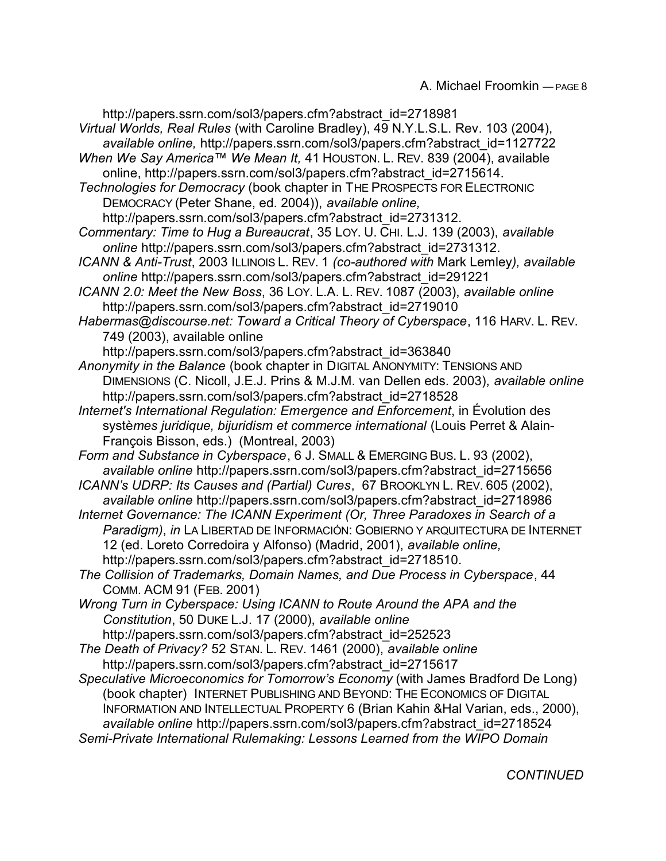http://papers.ssrn.com/sol3/papers.cfm?abstract\_id=2718981 *Virtual Worlds, Real Rules* (with Caroline Bradley), 49 N.Y.L.S.L. Rev. 103 (2004), *available online,* http://papers.ssrn.com/sol3/papers.cfm?abstract\_id=1127722 *When We Say America™ We Mean It,* 41 HOUSTON. L. REV. 839 (2004), available online, http://papers.ssrn.com/sol3/papers.cfm?abstract\_id=2715614. *Technologies for Democracy* (book chapter in THE PROSPECTS FOR ELECTRONIC DEMOCRACY (Peter Shane, ed. 2004)), *available online,* http://papers.ssrn.com/sol3/papers.cfm?abstract\_id=2731312. *Commentary: Time to Hug a Bureaucrat*, 35 LOY. U. CHI. L.J. 139 (2003), *available online* http://papers.ssrn.com/sol3/papers.cfm?abstract\_id=2731312. *ICANN & Anti-Trust*, 2003 ILLINOIS L. REV. 1 *(co-authored with* Mark Lemley*), available online* http://papers.ssrn.com/sol3/papers.cfm?abstract\_id=291221 *ICANN 2.0: Meet the New Boss*, 36 LOY. L.A. L. REV. 1087 (2003), *available online* http://papers.ssrn.com/sol3/papers.cfm?abstract\_id=2719010 *Habermas@discourse.net: Toward a Critical Theory of Cyberspace*, 116 HARV. L. REV. 749 (2003), available online http://papers.ssrn.com/sol3/papers.cfm?abstract\_id=363840 *Anonymity in the Balance* (book chapter in DIGITAL ANONYMITY: TENSIONS AND DIMENSIONS (C. Nicoll, J.E.J. Prins & M.J.M. van Dellen eds. 2003), *available online* http://papers.ssrn.com/sol3/papers.cfm?abstract\_id=2718528 *Internet's International Regulation: Emergence and Enforcement*, in Évolution des systè*mes juridique, bijuridism et commerce international* (Louis Perret & Alain-François Bisson, eds.) (Montreal, 2003) *Form and Substance in Cyberspace*, 6 J. SMALL & EMERGING BUS. L. 93 (2002), *available online* http://papers.ssrn.com/sol3/papers.cfm?abstract\_id=2715656 *ICANN's UDRP: Its Causes and (Partial) Cures*, 67 BROOKLYN L. REV. 605 (2002), *available online* http://papers.ssrn.com/sol3/papers.cfm?abstract\_id=2718986 *Internet Governance: The ICANN Experiment (Or, Three Paradoxes in Search of a Paradigm)*, *in* LA LIBERTAD DE INFORMACIÓN: GOBIERNO Y ARQUITECTURA DE INTERNET 12 (ed. Loreto Corredoira y Alfonso) (Madrid, 2001), *available online,* http://papers.ssrn.com/sol3/papers.cfm?abstract\_id=2718510. *The Collision of Trademarks, Domain Names, and Due Process in Cyberspace*, 44 COMM. ACM 91 (FEB. 2001) *Wrong Turn in Cyberspace: Using ICANN to Route Around the APA and the Constitution*, 50 DUKE L.J. 17 (2000), *available online* http://papers.ssrn.com/sol3/papers.cfm?abstract\_id=252523 *The Death of Privacy?* 52 STAN. L. REV. 1461 (2000), *available online* http://papers.ssrn.com/sol3/papers.cfm?abstract\_id=2715617 *Speculative Microeconomics for Tomorrow's Economy* (with James Bradford De Long) (book chapter) INTERNET PUBLISHING AND BEYOND: THE ECONOMICS OF DIGITAL INFORMATION AND INTELLECTUAL PROPERTY 6 (Brian Kahin &Hal Varian, eds., 2000), *available online* http://papers.ssrn.com/sol3/papers.cfm?abstract\_id=2718524 *Semi-Private International Rulemaking: Lessons Learned from the WIPO Domain*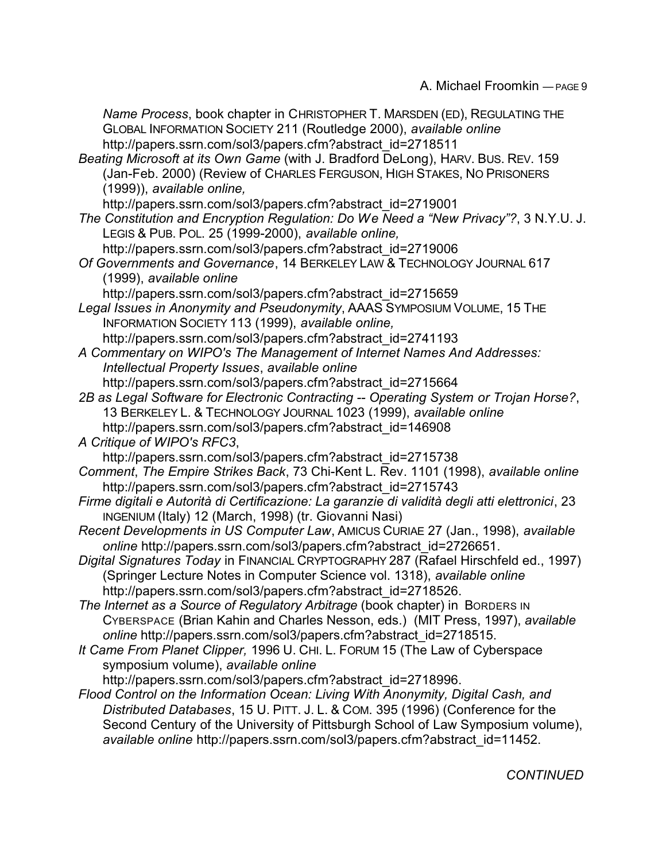*Name Process*, book chapter in CHRISTOPHER T. MARSDEN (ED), REGULATING THE GLOBAL INFORMATION SOCIETY 211 (Routledge 2000), *available online* http://papers.ssrn.com/sol3/papers.cfm?abstract\_id=2718511 *Beating Microsoft at its Own Game* (with J. Bradford DeLong), HARV. BUS. REV. 159 (Jan-Feb. 2000) (Review of CHARLES FERGUSON, HIGH STAKES, NO PRISONERS (1999)), *available online,* http://papers.ssrn.com/sol3/papers.cfm?abstract\_id=2719001 *The Constitution and Encryption Regulation: Do We Need a "New Privacy"?*, 3 N.Y.U. J. LEGIS & PUB. POL. 25 (1999-2000), *available online,* http://papers.ssrn.com/sol3/papers.cfm?abstract\_id=2719006 *Of Governments and Governance*, 14 BERKELEY LAW & TECHNOLOGY JOURNAL 617 (1999), *available online* http://papers.ssrn.com/sol3/papers.cfm?abstract\_id=2715659 *Legal Issues in Anonymity and Pseudonymity*, AAAS SYMPOSIUM VOLUME, 15 THE INFORMATION SOCIETY 113 (1999), *available online,*  http://papers.ssrn.com/sol3/papers.cfm?abstract\_id=2741193 *A Commentary on WIPO's The Management of Internet Names And Addresses: Intellectual Property Issues*, *available online* http://papers.ssrn.com/sol3/papers.cfm?abstract\_id=2715664 *2B as Legal Software for Electronic Contracting -- Operating System or Trojan Horse?*, 13 BERKELEY L. & TECHNOLOGY JOURNAL 1023 (1999), *available online* http://papers.ssrn.com/sol3/papers.cfm?abstract\_id=146908 *A Critique of WIPO's RFC3*, http://papers.ssrn.com/sol3/papers.cfm?abstract\_id=2715738 *Comment*, *The Empire Strikes Back*, 73 Chi-Kent L. Rev. 1101 (1998), *available online* http://papers.ssrn.com/sol3/papers.cfm?abstract\_id=2715743 *Firme digitali e Autorità di Certificazione: La garanzie di validità degli atti elettronici*, 23 INGENIUM (Italy) 12 (March, 1998) (tr. Giovanni Nasi) *Recent Developments in US Computer Law*, AMICUS CURIAE 27 (Jan., 1998), *available online* http://papers.ssrn.com/sol3/papers.cfm?abstract\_id=2726651. *Digital Signatures Today* in FINANCIAL CRYPTOGRAPHY 287 (Rafael Hirschfeld ed., 1997) (Springer Lecture Notes in Computer Science vol. 1318), *available online* http://papers.ssrn.com/sol3/papers.cfm?abstract\_id=2718526. *The Internet as a Source of Regulatory Arbitrage* (book chapter) in BORDERS IN CYBERSPACE (Brian Kahin and Charles Nesson, eds.) (MIT Press, 1997), *available online* http://papers.ssrn.com/sol3/papers.cfm?abstract\_id=2718515. *It Came From Planet Clipper,* 1996 U. CHI. L. FORUM 15 (The Law of Cyberspace symposium volume), *available online* http://papers.ssrn.com/sol3/papers.cfm?abstract\_id=2718996. *Flood Control on the Information Ocean: Living With Anonymity, Digital Cash, and Distributed Databases*, 15 U. PITT. J. L. & COM. 395 (1996) (Conference for the Second Century of the University of Pittsburgh School of Law Symposium volume), *available online* http://papers.ssrn.com/sol3/papers.cfm?abstract\_id=11452.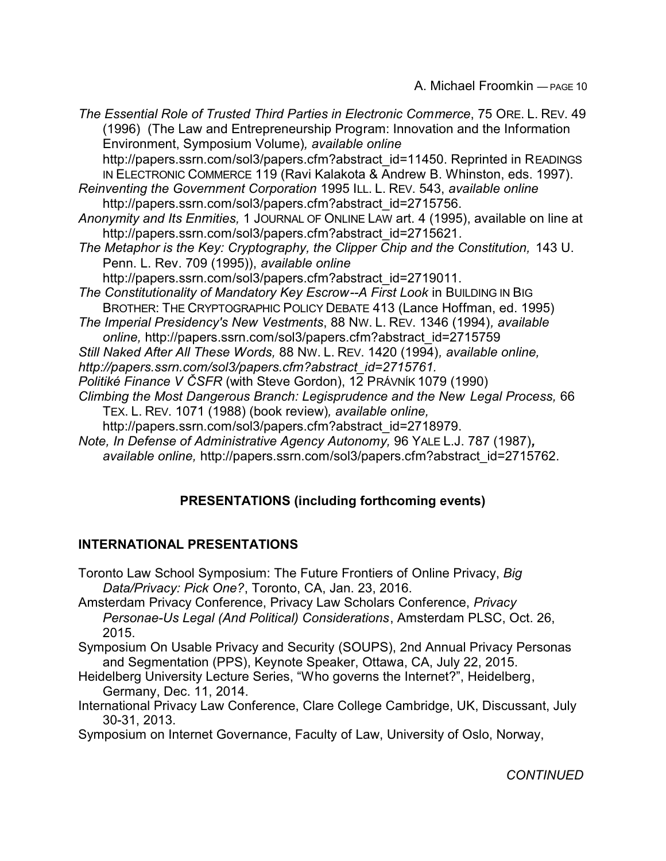*The Essential Role of Trusted Third Parties in Electronic Commerce*, 75 ORE. L. REV. 49 (1996) (The Law and Entrepreneurship Program: Innovation and the Information Environment, Symposium Volume)*, available online* http://papers.ssrn.com/sol3/papers.cfm?abstract\_id=11450. Reprinted in READINGS IN ELECTRONIC COMMERCE 119 (Ravi Kalakota & Andrew B. Whinston, eds. 1997). *Reinventing the Government Corporation* 1995 ILL. L. REV. 543, *available online* http://papers.ssrn.com/sol3/papers.cfm?abstract\_id=2715756. *Anonymity and Its Enmities,* 1 JOURNAL OF ONLINE LAW art. 4 (1995), available on line at http://papers.ssrn.com/sol3/papers.cfm?abstract\_id=2715621*. The Metaphor is the Key: Cryptography, the Clipper Chip and the Constitution, 143 U.* Penn. L. Rev. 709 (1995)), *available online* http://papers.ssrn.com/sol3/papers.cfm?abstract\_id=2719011. **The Constitutionality of Mandatory Key Escrow--A First Look in BUILDING IN BIG** BROTHER: THE CRYPTOGRAPHIC POLICY DEBATE 413 (Lance Hoffman, ed. 1995) *The Imperial Presidency's New Vestments*, 88 NW. L. REV. 1346 (1994)*, available online,* http://papers.ssrn.com/sol3/papers.cfm?abstract\_id=2715759 *Still Naked After All These Words,* 88 NW. L. REV. 1420 (1994)*, available online, http://papers.ssrn.com/sol3/papers.cfm?abstract\_id=2715761. Politiké Finance V ÈSFR* (with Steve Gordon), 12 PRÁVNÍK 1079 (1990) *Climbing the Most Dangerous Branch: Legisprudence and the New Legal Process,* 66 TEX. L. REV. 1071 (1988) (book review)*, available online,* http://papers.ssrn.com/sol3/papers.cfm?abstract\_id=2718979. *Note, In Defense of Administrative Agency Autonomy,* 96 YALE L.J. 787 (1987)*,*

*available online,* http://papers.ssrn.com/sol3/papers.cfm?abstract\_id=2715762.

# **PRESENTATIONS (including forthcoming events)**

# **INTERNATIONAL PRESENTATIONS**

- Toronto Law School Symposium: The Future Frontiers of Online Privacy, *Big Data/Privacy: Pick One?*, Toronto, CA, Jan. 23, 2016.
- Amsterdam Privacy Conference, Privacy Law Scholars Conference, *Privacy Personae-Us Legal (And Political) Considerations*, Amsterdam PLSC, Oct. 26, 2015.
- Symposium On Usable Privacy and Security (SOUPS), 2nd Annual Privacy Personas and Segmentation (PPS), Keynote Speaker, Ottawa, CA, July 22, 2015.
- Heidelberg University Lecture Series, "Who governs the Internet?", Heidelberg, Germany, Dec. 11, 2014.
- International Privacy Law Conference, Clare College Cambridge, UK, Discussant, July 30-31, 2013.
- Symposium on Internet Governance, Faculty of Law, University of Oslo, Norway,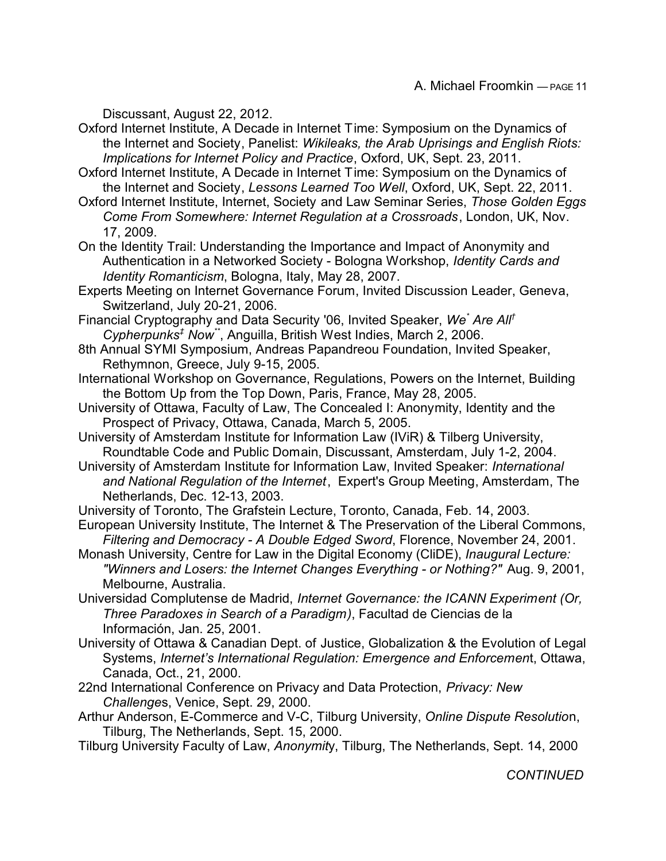Discussant, August 22, 2012.

Oxford Internet Institute, A Decade in Internet Time: Symposium on the Dynamics of the Internet and Society, Panelist: *Wikileaks, the Arab Uprisings and English Riots: Implications for Internet Policy and Practice*, Oxford, UK, Sept. 23, 2011.

Oxford Internet Institute, A Decade in Internet Time: Symposium on the Dynamics of the Internet and Society, *Lessons Learned Too Well*, Oxford, UK, Sept. 22, 2011.

Oxford Internet Institute, Internet, Society and Law Seminar Series, *Those Golden Eggs Come From Somewhere: Internet Regulation at a Crossroads*, London, UK, Nov. 17, 2009.

On the Identity Trail: Understanding the Importance and Impact of Anonymity and Authentication in a Networked Society - Bologna Workshop, *Identity Cards and Identity Romanticism*, Bologna, Italy, May 28, 2007.

Experts Meeting on Internet Governance Forum, Invited Discussion Leader, Geneva, Switzerland, July 20-21, 2006.

Financial Cryptography and Data Security '06, Invited Speaker, We<sup>\*</sup> Are All<sup>†</sup> *Cypherpunks‡ Now\*\** , Anguilla, British West Indies, March 2, 2006.

8th Annual SYMI Symposium, Andreas Papandreou Foundation, Invited Speaker, Rethymnon, Greece, July 9-15, 2005.

International Workshop on Governance, Regulations, Powers on the Internet, Building the Bottom Up from the Top Down, Paris, France, May 28, 2005.

University of Ottawa, Faculty of Law, The Concealed I: Anonymity, Identity and the Prospect of Privacy, Ottawa, Canada, March 5, 2005.

University of Amsterdam Institute for Information Law (IViR) & Tilberg University, Roundtable Code and Public Domain, Discussant, Amsterdam, July 1-2, 2004.

University of Amsterdam Institute for Information Law, Invited Speaker: *International and National Regulation of the Internet*, Expert's Group Meeting, Amsterdam, The Netherlands, Dec. 12-13, 2003.

University of Toronto, The Grafstein Lecture, Toronto, Canada, Feb. 14, 2003.

European University Institute, The Internet & The Preservation of the Liberal Commons, *Filtering and Democracy - A Double Edged Sword*, Florence, November 24, 2001.

Monash University, Centre for Law in the Digital Economy (CliDE), *Inaugural Lecture: "Winners and Losers: the Internet Changes Everything - or Nothing?"* Aug. 9, 2001, Melbourne, Australia.

Universidad Complutense de Madrid, *Internet Governance: the ICANN Experiment (Or, Three Paradoxes in Search of a Paradigm)*, Facultad de Ciencias de la Información, Jan. 25, 2001.

University of Ottawa & Canadian Dept. of Justice, Globalization & the Evolution of Legal Systems, *Internet's International Regulation: Emergence and Enforcemen*t, Ottawa, Canada, Oct., 21, 2000.

22nd International Conference on Privacy and Data Protection, *Privacy: New Challenge*s, Venice, Sept. 29, 2000.

Arthur Anderson, E-Commerce and V-C, Tilburg University, *Online Dispute Resolutio*n, Tilburg, The Netherlands, Sept. 15, 2000.

Tilburg University Faculty of Law, *Anonymit*y, Tilburg, The Netherlands, Sept. 14, 2000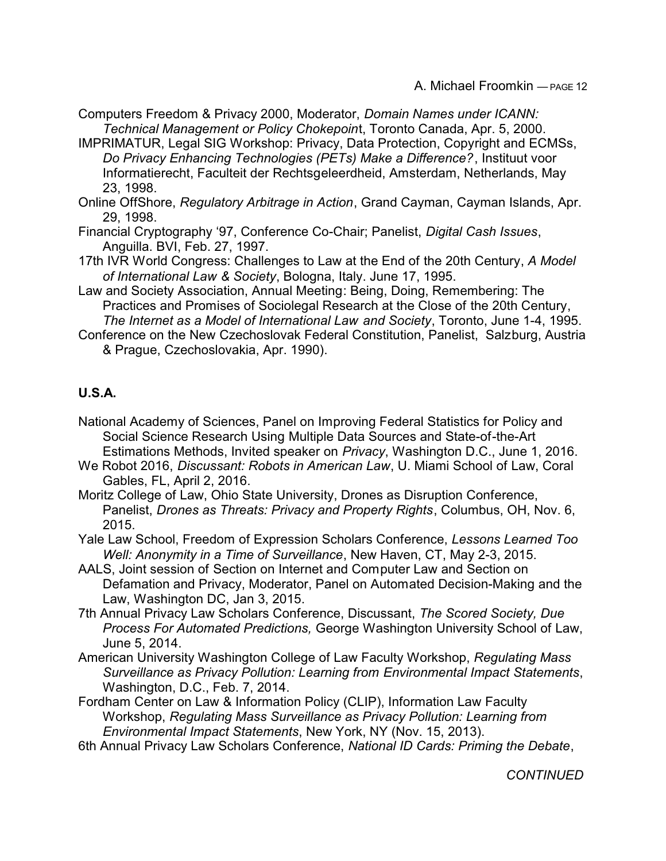- Computers Freedom & Privacy 2000, Moderator, *Domain Names under ICANN: Technical Management or Policy Chokepoin*t, Toronto Canada, Apr. 5, 2000.
- IMPRIMATUR, Legal SIG Workshop: Privacy, Data Protection, Copyright and ECMSs, *Do Privacy Enhancing Technologies (PETs) Make a Difference?*, Instituut voor Informatierecht, Faculteit der Rechtsgeleerdheid, Amsterdam, Netherlands, May 23, 1998.
- Online OffShore, *Regulatory Arbitrage in Action*, Grand Cayman, Cayman Islands, Apr. 29, 1998.
- Financial Cryptography '97, Conference Co-Chair; Panelist, *Digital Cash Issues*, Anguilla. BVI, Feb. 27, 1997.
- 17th IVR World Congress: Challenges to Law at the End of the 20th Century, *A Model of International Law & Society*, Bologna, Italy. June 17, 1995.
- Law and Society Association, Annual Meeting: Being, Doing, Remembering: The Practices and Promises of Sociolegal Research at the Close of the 20th Century, *The Internet as a Model of International Law and Society*, Toronto, June 1-4, 1995.
- Conference on the New Czechoslovak Federal Constitution, Panelist, Salzburg, Austria & Prague, Czechoslovakia, Apr. 1990).

## **U.S.A.**

National Academy of Sciences, Panel on Improving Federal Statistics for Policy and Social Science Research Using Multiple Data Sources and State-of-the-Art Estimations Methods, Invited speaker on *Privacy*, Washington D.C., June 1, 2016.

- We Robot 2016, *Discussant: Robots in American Law*, U. Miami School of Law, Coral Gables, FL, April 2, 2016.
- Moritz College of Law, Ohio State University, Drones as Disruption Conference, Panelist, *Drones as Threats: Privacy and Property Rights*, Columbus, OH, Nov. 6, 2015.

Yale Law School, Freedom of Expression Scholars Conference, *Lessons Learned Too Well: Anonymity in a Time of Surveillance*, New Haven, CT, May 2-3, 2015.

- AALS, Joint session of Section on Internet and Computer Law and Section on Defamation and Privacy, Moderator, Panel on Automated Decision-Making and the Law, Washington DC, Jan 3, 2015.
- 7th Annual Privacy Law Scholars Conference, Discussant, *The Scored Society, Due Process For Automated Predictions,* George Washington University School of Law, June 5, 2014.
- American University Washington College of Law Faculty Workshop, *Regulating Mass Surveillance as Privacy Pollution: Learning from Environmental Impact Statements*, Washington, D.C., Feb. 7, 2014.
- Fordham Center on Law & Information Policy (CLIP), Information Law Faculty Workshop, *Regulating Mass Surveillance as Privacy Pollution: Learning from Environmental Impact Statements*, New York, NY (Nov. 15, 2013).
- 6th Annual Privacy Law Scholars Conference, *National ID Cards: Priming the Debate*,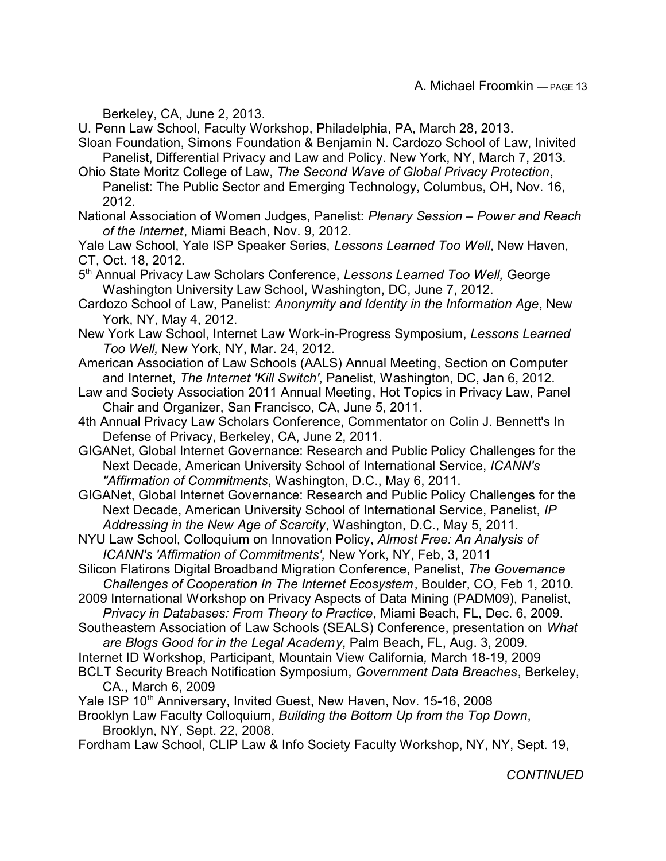Berkeley, CA, June 2, 2013.

U. Penn Law School, Faculty Workshop, Philadelphia, PA, March 28, 2013.

Sloan Foundation, Simons Foundation & Benjamin N. Cardozo School of Law, Inivited Panelist, Differential Privacy and Law and Policy. New York, NY, March 7, 2013.

Ohio State Moritz College of Law, *The Second Wave of Global Privacy Protection*, Panelist: The Public Sector and Emerging Technology, Columbus, OH, Nov. 16, 2012.

National Association of Women Judges, Panelist: *Plenary Session – Power and Reach of the Internet*, Miami Beach, Nov. 9, 2012.

Yale Law School, Yale ISP Speaker Series, *Lessons Learned Too Well*, New Haven, CT, Oct. 18, 2012.

5 th Annual Privacy Law Scholars Conference, *Lessons Learned Too Well,* George Washington University Law School, Washington, DC, June 7, 2012.

Cardozo School of Law, Panelist: *Anonymity and Identity in the Information Age*, New York, NY, May 4, 2012.

New York Law School, Internet Law Work-in-Progress Symposium, *Lessons Learned Too Well,* New York, NY, Mar. 24, 2012.

American Association of Law Schools (AALS) Annual Meeting, Section on Computer and Internet, *The Internet 'Kill Switch'*, Panelist, Washington, DC, Jan 6, 2012.

Law and Society Association 2011 Annual Meeting, Hot Topics in Privacy Law, Panel Chair and Organizer, San Francisco, CA, June 5, 2011.

4th Annual Privacy Law Scholars Conference, Commentator on Colin J. Bennett's In Defense of Privacy, Berkeley, CA, June 2, 2011.

GIGANet, Global Internet Governance: Research and Public Policy Challenges for the Next Decade, American University School of International Service, *ICANN's "Affirmation of Commitments*, Washington, D.C., May 6, 2011.

GIGANet, Global Internet Governance: Research and Public Policy Challenges for the Next Decade, American University School of International Service, Panelist, *IP Addressing in the New Age of Scarcity*, Washington, D.C., May 5, 2011.

- NYU Law School, Colloquium on Innovation Policy, *Almost Free: An Analysis of ICANN's 'Affirmation of Commitments',* New York, NY, Feb, 3, 2011
- Silicon Flatirons Digital Broadband Migration Conference, Panelist, *The Governance Challenges of Cooperation In The Internet Ecosystem*, Boulder, CO, Feb 1, 2010.

2009 International Workshop on Privacy Aspects of Data Mining (PADM09), Panelist, *Privacy in Databases: From Theory to Practice*, Miami Beach, FL, Dec. 6, 2009.

Southeastern Association of Law Schools (SEALS) Conference, presentation on *What are Blogs Good for in the Legal Academy*, Palm Beach, FL, Aug. 3, 2009.

Internet ID Workshop, Participant, Mountain View California*,* March 18-19, 2009

BCLT Security Breach Notification Symposium, *Government Data Breaches*, Berkeley, CA., March 6, 2009

Yale ISP 10<sup>th</sup> Anniversary, Invited Guest, New Haven, Nov. 15-16, 2008

Brooklyn Law Faculty Colloquium, *Building the Bottom Up from the Top Down*, Brooklyn, NY, Sept. 22, 2008.

Fordham Law School, CLIP Law & Info Society Faculty Workshop, NY, NY, Sept. 19,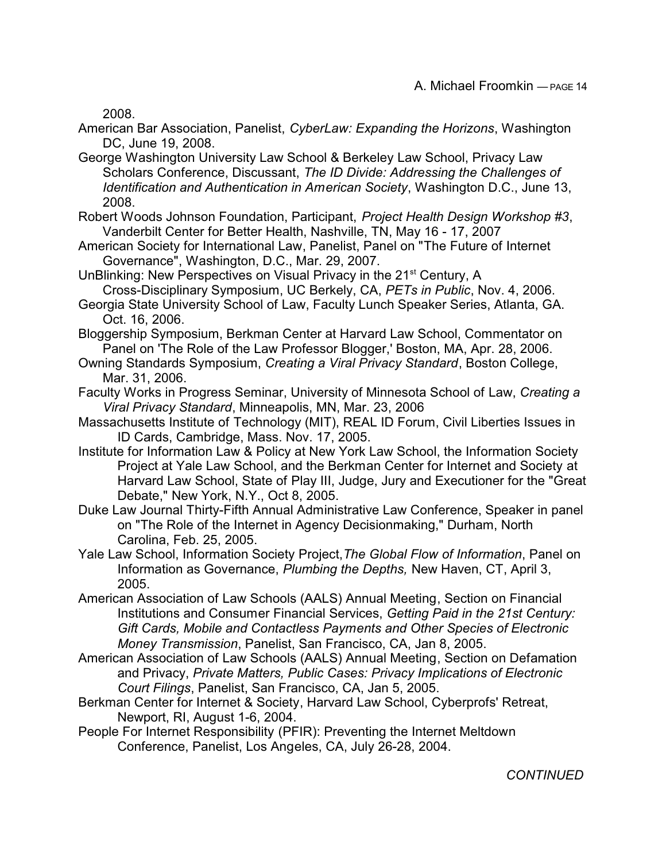2008.

- American Bar Association, Panelist, *CyberLaw: Expanding the Horizons*, Washington DC, June 19, 2008.
- George Washington University Law School & Berkeley Law School, Privacy Law Scholars Conference, Discussant, *The ID Divide: Addressing the Challenges of Identification and Authentication in American Society*, Washington D.C., June 13, 2008.
- Robert Woods Johnson Foundation, Participant, *Project Health Design Workshop #3*, Vanderbilt Center for Better Health, Nashville, TN, May 16 - 17, 2007
- American Society for International Law, Panelist, Panel on "The Future of Internet Governance", Washington, D.C., Mar. 29, 2007.
- UnBlinking: New Perspectives on Visual Privacy in the 21<sup>st</sup> Century, A Cross-Disciplinary Symposium, UC Berkely, CA, *PETs in Public*, Nov. 4, 2006.
- Georgia State University School of Law, Faculty Lunch Speaker Series, Atlanta, GA. Oct. 16, 2006.
- Bloggership Symposium, Berkman Center at Harvard Law School, Commentator on Panel on 'The Role of the Law Professor Blogger,' Boston, MA, Apr. 28, 2006.
- Owning Standards Symposium, *Creating a Viral Privacy Standard*, Boston College, Mar. 31, 2006.
- Faculty Works in Progress Seminar, University of Minnesota School of Law, *Creating a Viral Privacy Standard*, Minneapolis, MN, Mar. 23, 2006
- Massachusetts Institute of Technology (MIT), REAL ID Forum, Civil Liberties Issues in ID Cards, Cambridge, Mass. Nov. 17, 2005.
- Institute for Information Law & Policy at New York Law School, the Information Society Project at Yale Law School, and the Berkman Center for Internet and Society at Harvard Law School, State of Play III, Judge, Jury and Executioner for the "Great Debate," New York, N.Y., Oct 8, 2005.
- Duke Law Journal Thirty-Fifth Annual Administrative Law Conference, Speaker in panel on "The Role of the Internet in Agency Decisionmaking," Durham, North Carolina, Feb. 25, 2005.
- Yale Law School, Information Society Project,*The Global Flow of Information*, Panel on Information as Governance, *Plumbing the Depths,* New Haven, CT, April 3, 2005.
- American Association of Law Schools (AALS) Annual Meeting, Section on Financial Institutions and Consumer Financial Services, *Getting Paid in the 21st Century: Gift Cards, Mobile and Contactless Payments and Other Species of Electronic Money Transmission*, Panelist, San Francisco, CA, Jan 8, 2005.
- American Association of Law Schools (AALS) Annual Meeting, Section on Defamation and Privacy, *Private Matters, Public Cases: Privacy Implications of Electronic Court Filings*, Panelist, San Francisco, CA, Jan 5, 2005.
- Berkman Center for Internet & Society, Harvard Law School, Cyberprofs' Retreat, Newport, RI, August 1-6, 2004.
- People For Internet Responsibility (PFIR): Preventing the Internet Meltdown Conference, Panelist, Los Angeles, CA, July 26-28, 2004.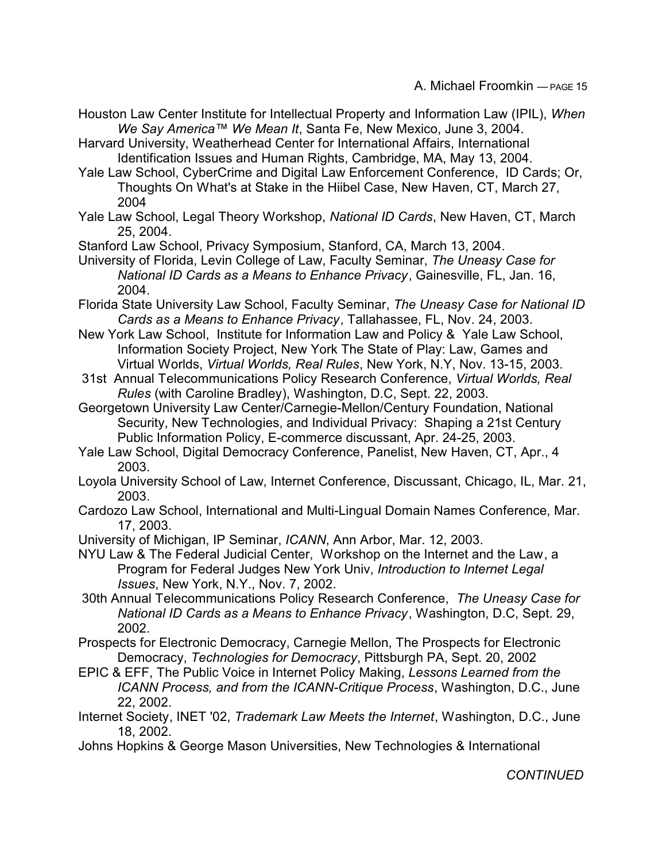Houston Law Center Institute for Intellectual Property and Information Law (IPIL), *When We Say America™ We Mean It*, Santa Fe, New Mexico, June 3, 2004.

Harvard University, Weatherhead Center for International Affairs, International Identification Issues and Human Rights, Cambridge, MA, May 13, 2004.

Yale Law School, CyberCrime and Digital Law Enforcement Conference, ID Cards; Or, Thoughts On What's at Stake in the Hiibel Case, New Haven, CT, March 27, 2004

Yale Law School, Legal Theory Workshop, *National ID Cards*, New Haven, CT, March 25, 2004.

Stanford Law School, Privacy Symposium, Stanford, CA, March 13, 2004.

University of Florida, Levin College of Law, Faculty Seminar, *The Uneasy Case for National ID Cards as a Means to Enhance Privacy*, Gainesville, FL, Jan. 16, 2004.

- Florida State University Law School, Faculty Seminar, *The Uneasy Case for National ID Cards as a Means to Enhance Privacy*, Tallahassee, FL, Nov. 24, 2003.
- New York Law School, Institute for Information Law and Policy & Yale Law School, Information Society Project, New York The State of Play: Law, Games and Virtual Worlds, *Virtual Worlds, Real Rules*, New York, N.Y, Nov. 13-15, 2003.
- 31st Annual Telecommunications Policy Research Conference, *Virtual Worlds, Real Rules* (with Caroline Bradley), Washington, D.C, Sept. 22, 2003.
- Georgetown University Law Center/Carnegie-Mellon/Century Foundation, National Security, New Technologies, and Individual Privacy: Shaping a 21st Century Public Information Policy, E-commerce discussant, Apr. 24-25, 2003.
- Yale Law School, Digital Democracy Conference, Panelist, New Haven, CT, Apr., 4 2003.
- Loyola University School of Law, Internet Conference, Discussant, Chicago, IL, Mar. 21, 2003.
- Cardozo Law School, International and Multi-Lingual Domain Names Conference, Mar. 17, 2003.
- University of Michigan, IP Seminar, *ICANN*, Ann Arbor, Mar. 12, 2003.

NYU Law & The Federal Judicial Center, Workshop on the Internet and the Law, a Program for Federal Judges New York Univ, *Introduction to Internet Legal Issues*, New York, N.Y., Nov. 7, 2002.

- 30th Annual Telecommunications Policy Research Conference, *The Uneasy Case for National ID Cards as a Means to Enhance Privacy*, Washington, D.C, Sept. 29, 2002.
- Prospects for Electronic Democracy, Carnegie Mellon, The Prospects for Electronic Democracy, *Technologies for Democracy*, Pittsburgh PA, Sept. 20, 2002
- EPIC & EFF, The Public Voice in Internet Policy Making, *Lessons Learned from the ICANN Process, and from the ICANN-Critique Process*, Washington, D.C., June 22, 2002.
- Internet Society, INET '02, *Trademark Law Meets the Internet*, Washington, D.C., June 18, 2002.
- Johns Hopkins & George Mason Universities, New Technologies & International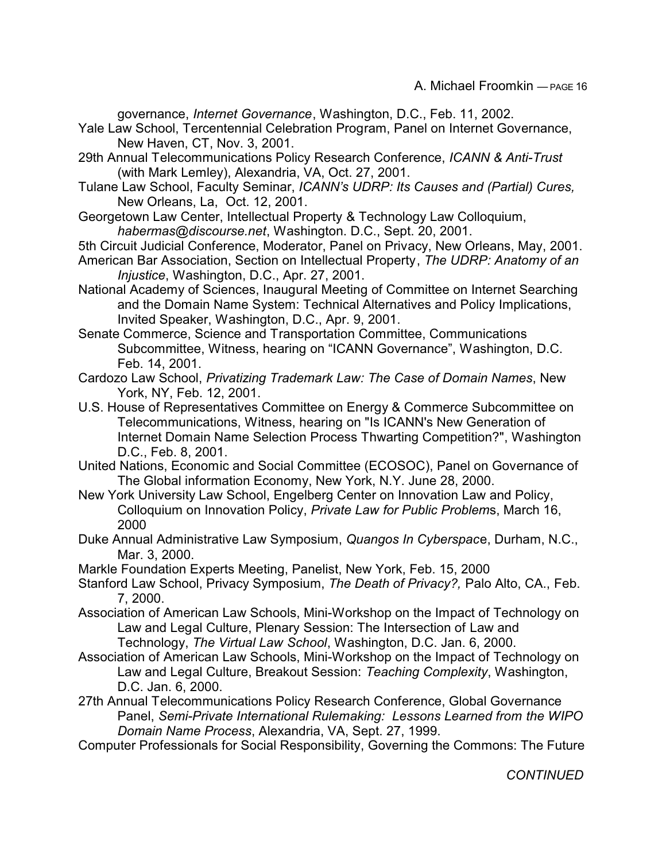governance, *Internet Governance*, Washington, D.C., Feb. 11, 2002.

- Yale Law School, Tercentennial Celebration Program, Panel on Internet Governance, New Haven, CT, Nov. 3, 2001.
- 29th Annual Telecommunications Policy Research Conference, *ICANN & Anti-Trust* (with Mark Lemley), Alexandria, VA, Oct. 27, 2001.
- Tulane Law School, Faculty Seminar, *ICANN's UDRP: Its Causes and (Partial) Cures,* New Orleans, La, Oct. 12, 2001.
- Georgetown Law Center, Intellectual Property & Technology Law Colloquium, *habermas@discourse.net*, Washington. D.C., Sept. 20, 2001.
- 5th Circuit Judicial Conference, Moderator, Panel on Privacy, New Orleans, May, 2001.
- American Bar Association, Section on Intellectual Property, *The UDRP: Anatomy of an Injustice*, Washington, D.C., Apr. 27, 2001.
- National Academy of Sciences, Inaugural Meeting of Committee on Internet Searching and the Domain Name System: Technical Alternatives and Policy Implications, Invited Speaker, Washington, D.C., Apr. 9, 2001.
- Senate Commerce, Science and Transportation Committee, Communications Subcommittee, Witness, hearing on "ICANN Governance", Washington, D.C. Feb. 14, 2001.
- Cardozo Law School, *Privatizing Trademark Law: The Case of Domain Names*, New York, NY, Feb. 12, 2001.
- U.S. House of Representatives Committee on Energy & Commerce Subcommittee on Telecommunications, Witness, hearing on "Is ICANN's New Generation of Internet Domain Name Selection Process Thwarting Competition?", Washington D.C., Feb. 8, 2001.
- United Nations, Economic and Social Committee (ECOSOC), Panel on Governance of The Global information Economy, New York, N.Y. June 28, 2000.
- New York University Law School, Engelberg Center on Innovation Law and Policy, Colloquium on Innovation Policy, *Private Law for Public Problem*s, March 16, 2000
- Duke Annual Administrative Law Symposium, *Quangos In Cyberspac*e, Durham, N.C., Mar. 3, 2000.
- Markle Foundation Experts Meeting, Panelist, New York, Feb. 15, 2000
- Stanford Law School, Privacy Symposium, *The Death of Privacy?,* Palo Alto, CA., Feb. 7, 2000.
- Association of American Law Schools, Mini-Workshop on the Impact of Technology on Law and Legal Culture, Plenary Session: The Intersection of Law and Technology, *The Virtual Law School*, Washington, D.C. Jan. 6, 2000.
- Association of American Law Schools, Mini-Workshop on the Impact of Technology on Law and Legal Culture, Breakout Session: *Teaching Complexity*, Washington, D.C. Jan. 6, 2000.
- 27th Annual Telecommunications Policy Research Conference, Global Governance Panel, *Semi-Private International Rulemaking: Lessons Learned from the WIPO Domain Name Process*, Alexandria, VA, Sept. 27, 1999.
- Computer Professionals for Social Responsibility, Governing the Commons: The Future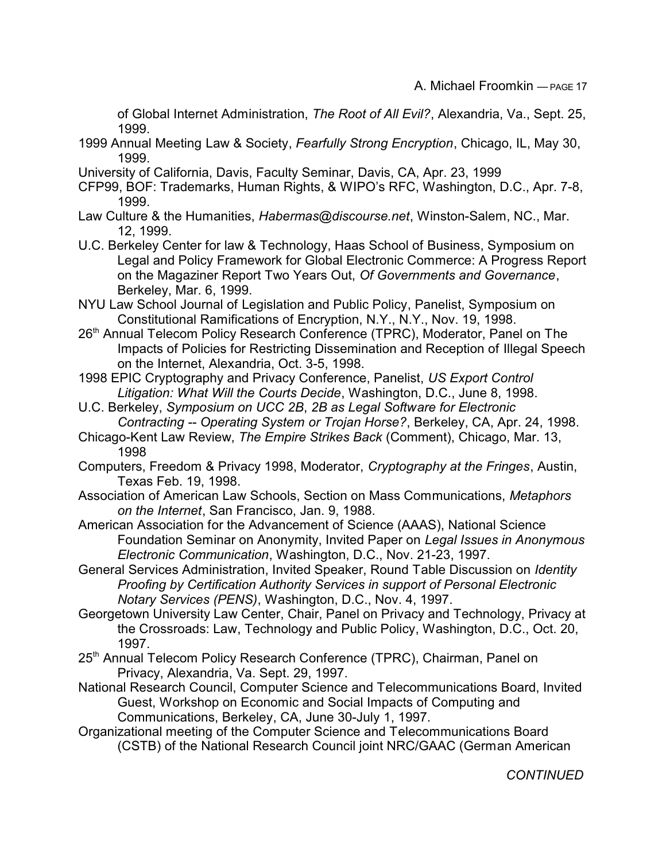of Global Internet Administration, *The Root of All Evil?*, Alexandria, Va., Sept. 25, 1999.

- 1999 Annual Meeting Law & Society, *Fearfully Strong Encryption*, Chicago, IL, May 30, 1999.
- University of California, Davis, Faculty Seminar, Davis, CA, Apr. 23, 1999
- CFP99, BOF: Trademarks, Human Rights, & WIPO's RFC, Washington, D.C., Apr. 7-8, 1999.
- Law Culture & the Humanities, *Habermas@discourse.net*, Winston-Salem, NC., Mar. 12, 1999.
- U.C. Berkeley Center for law & Technology, Haas School of Business, Symposium on Legal and Policy Framework for Global Electronic Commerce: A Progress Report on the Magaziner Report Two Years Out, *Of Governments and Governance*, Berkeley, Mar. 6, 1999.
- NYU Law School Journal of Legislation and Public Policy, Panelist, Symposium on Constitutional Ramifications of Encryption, N.Y., N.Y., Nov. 19, 1998.
- 26<sup>th</sup> Annual Telecom Policy Research Conference (TPRC), Moderator, Panel on The Impacts of Policies for Restricting Dissemination and Reception of Illegal Speech on the Internet, Alexandria, Oct. 3-5, 1998.
- 1998 EPIC Cryptography and Privacy Conference, Panelist, *US Export Control Litigation: What Will the Courts Decide*, Washington, D.C., June 8, 1998.
- U.C. Berkeley, *Symposium on UCC 2B*, *2B as Legal Software for Electronic Contracting -- Operating System or Trojan Horse?*, Berkeley, CA, Apr. 24, 1998.
- Chicago-Kent Law Review, *The Empire Strikes Back* (Comment), Chicago, Mar. 13, 1998
- Computers, Freedom & Privacy 1998, Moderator, *Cryptography at the Fringes*, Austin, Texas Feb. 19, 1998.
- Association of American Law Schools, Section on Mass Communications, *Metaphors on the Internet*, San Francisco, Jan. 9, 1988.
- American Association for the Advancement of Science (AAAS), National Science Foundation Seminar on Anonymity, Invited Paper on *Legal Issues in Anonymous Electronic Communication*, Washington, D.C., Nov. 21-23, 1997.
- General Services Administration, Invited Speaker, Round Table Discussion on *Identity Proofing by Certification Authority Services in support of Personal Electronic Notary Services (PENS)*, Washington, D.C., Nov. 4, 1997.
- Georgetown University Law Center, Chair, Panel on Privacy and Technology, Privacy at the Crossroads: Law, Technology and Public Policy, Washington, D.C., Oct. 20, 1997.
- 25<sup>th</sup> Annual Telecom Policy Research Conference (TPRC), Chairman, Panel on Privacy, Alexandria, Va. Sept. 29, 1997.
- National Research Council, Computer Science and Telecommunications Board, Invited Guest, Workshop on Economic and Social Impacts of Computing and Communications, Berkeley, CA, June 30-July 1, 1997.
- Organizational meeting of the Computer Science and Telecommunications Board (CSTB) of the National Research Council joint NRC/GAAC (German American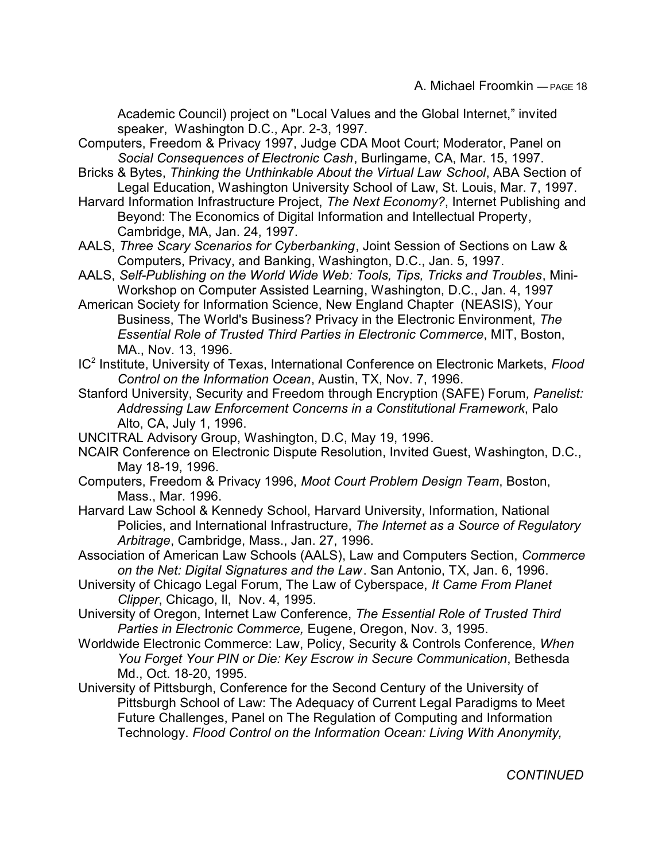Academic Council) project on "Local Values and the Global Internet," invited speaker, Washington D.C., Apr. 2-3, 1997.

- Computers, Freedom & Privacy 1997, Judge CDA Moot Court; Moderator, Panel on *Social Consequences of Electronic Cash*, Burlingame, CA, Mar. 15, 1997.
- Bricks & Bytes, *Thinking the Unthinkable About the Virtual Law School*, ABA Section of Legal Education, Washington University School of Law, St. Louis, Mar. 7, 1997.
- Harvard Information Infrastructure Project, *The Next Economy?*, Internet Publishing and Beyond: The Economics of Digital Information and Intellectual Property, Cambridge, MA, Jan. 24, 1997.
- AALS, *Three Scary Scenarios for Cyberbanking*, Joint Session of Sections on Law & Computers, Privacy, and Banking, Washington, D.C., Jan. 5, 1997.
- AALS, *Self-Publishing on the World Wide Web: Tools, Tips, Tricks and Troubles*, Mini-Workshop on Computer Assisted Learning, Washington, D.C., Jan. 4, 1997
- American Society for Information Science, New England Chapter (NEASIS), Your Business, The World's Business? Privacy in the Electronic Environment, *The Essential Role of Trusted Third Parties in Electronic Commerce*, MIT, Boston, MA., Nov. 13, 1996.
- IC<sup>2</sup> Institute, University of Texas, International Conference on Electronic Markets, Flood *Control on the Information Ocean*, Austin, TX, Nov. 7, 1996.
- Stanford University, Security and Freedom through Encryption (SAFE) Forum*, Panelist: Addressing Law Enforcement Concerns in a Constitutional Framework*, Palo Alto, CA, July 1, 1996.
- UNCITRAL Advisory Group, Washington, D.C, May 19, 1996.
- NCAIR Conference on Electronic Dispute Resolution, Invited Guest, Washington, D.C., May 18-19, 1996.
- Computers, Freedom & Privacy 1996, *Moot Court Problem Design Team*, Boston, Mass., Mar. 1996.
- Harvard Law School & Kennedy School, Harvard University, Information, National Policies, and International Infrastructure, *The Internet as a Source of Regulatory Arbitrage*, Cambridge, Mass., Jan. 27, 1996.
- Association of American Law Schools (AALS), Law and Computers Section, *Commerce on the Net: Digital Signatures and the Law*. San Antonio, TX, Jan. 6, 1996.
- University of Chicago Legal Forum, The Law of Cyberspace, *It Came From Planet Clipper*, Chicago, Il, Nov. 4, 1995.
- University of Oregon, Internet Law Conference, *The Essential Role of Trusted Third Parties in Electronic Commerce,* Eugene, Oregon, Nov. 3, 1995.
- Worldwide Electronic Commerce: Law, Policy, Security & Controls Conference, *When You Forget Your PIN or Die: Key Escrow in Secure Communication*, Bethesda Md., Oct. 18-20, 1995.
- University of Pittsburgh, Conference for the Second Century of the University of Pittsburgh School of Law: The Adequacy of Current Legal Paradigms to Meet Future Challenges, Panel on The Regulation of Computing and Information Technology. *Flood Control on the Information Ocean: Living With Anonymity,*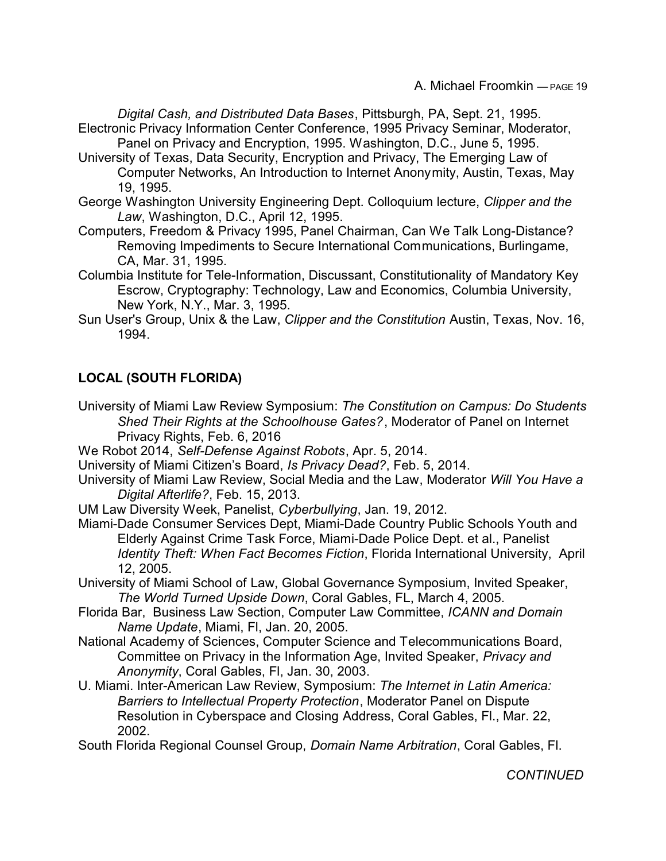*Digital Cash, and Distributed Data Bases*, Pittsburgh, PA, Sept. 21, 1995. Electronic Privacy Information Center Conference, 1995 Privacy Seminar, Moderator, Panel on Privacy and Encryption, 1995. Washington, D.C., June 5, 1995.

- University of Texas, Data Security, Encryption and Privacy, The Emerging Law of Computer Networks, An Introduction to Internet Anonymity, Austin, Texas, May 19, 1995.
- George Washington University Engineering Dept. Colloquium lecture, *Clipper and the Law*, Washington, D.C., April 12, 1995.
- Computers, Freedom & Privacy 1995, Panel Chairman, Can We Talk Long-Distance? Removing Impediments to Secure International Communications, Burlingame, CA, Mar. 31, 1995.
- Columbia Institute for Tele-Information, Discussant, Constitutionality of Mandatory Key Escrow, Cryptography: Technology, Law and Economics, Columbia University, New York, N.Y., Mar. 3, 1995.
- Sun User's Group, Unix & the Law, *Clipper and the Constitution* Austin, Texas, Nov. 16, 1994.

# **LOCAL (SOUTH FLORIDA)**

- University of Miami Law Review Symposium: *The Constitution on Campus: Do Students Shed Their Rights at the Schoolhouse Gates?*, Moderator of Panel on Internet Privacy Rights, Feb. 6, 2016
- We Robot 2014, *Self-Defense Against Robots*, Apr. 5, 2014.
- University of Miami Citizen's Board, *Is Privacy Dead?*, Feb. 5, 2014.
- University of Miami Law Review, Social Media and the Law, Moderator *Will You Have a Digital Afterlife?*, Feb. 15, 2013.
- UM Law Diversity Week, Panelist, *Cyberbullying*, Jan. 19, 2012.
- Miami-Dade Consumer Services Dept, Miami-Dade Country Public Schools Youth and Elderly Against Crime Task Force, Miami-Dade Police Dept. et al., Panelist *Identity Theft: When Fact Becomes Fiction*, Florida International University, April 12, 2005.
- University of Miami School of Law, Global Governance Symposium, Invited Speaker, *The World Turned Upside Down*, Coral Gables, FL, March 4, 2005.
- Florida Bar, Business Law Section, Computer Law Committee, *ICANN and Domain Name Update*, Miami, Fl, Jan. 20, 2005.
- National Academy of Sciences, Computer Science and Telecommunications Board, Committee on Privacy in the Information Age, Invited Speaker, *Privacy and Anonymity*, Coral Gables, Fl, Jan. 30, 2003.
- U. Miami. Inter-American Law Review, Symposium: *The Internet in Latin America: Barriers to Intellectual Property Protection*, Moderator Panel on Dispute Resolution in Cyberspace and Closing Address, Coral Gables, Fl., Mar. 22, 2002.

South Florida Regional Counsel Group, *Domain Name Arbitration*, Coral Gables, Fl.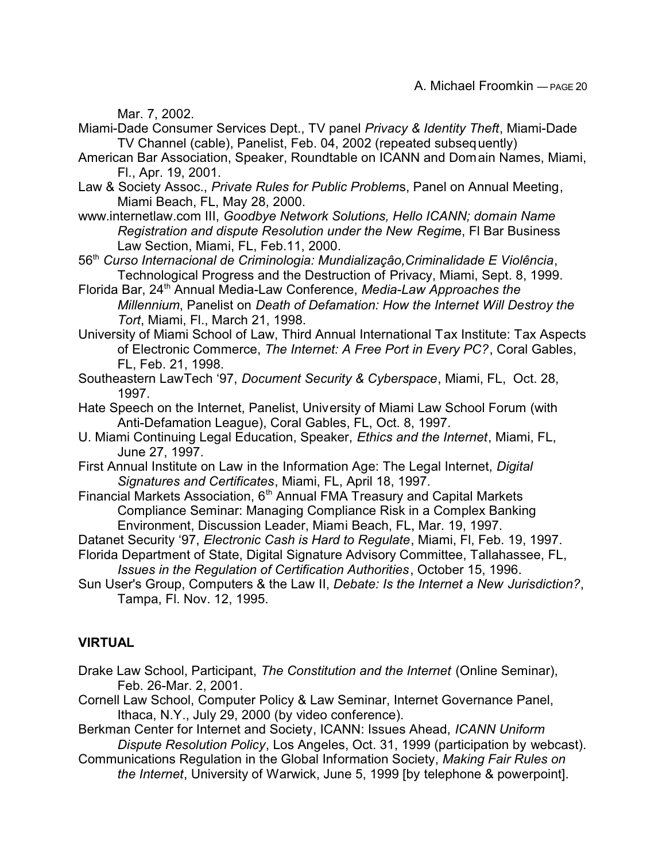Mar. 7, 2002.

- Miami-Dade Consumer Services Dept., TV panel *Privacy & Identity Theft*, Miami-Dade TV Channel (cable), Panelist, Feb. 04, 2002 (repeated subsequently)
- American Bar Association, Speaker, Roundtable on ICANN and Domain Names, Miami, Fl., Apr. 19, 2001.
- Law & Society Assoc., *Private Rules for Public Problem*s, Panel on Annual Meeting, Miami Beach, FL, May 28, 2000.
- www.internetlaw.com III, *Goodbye Network Solutions, Hello ICANN; domain Name Registration and dispute Resolution under the New Regim*e, Fl Bar Business Law Section, Miami, FL, Feb.11, 2000.
- 56th *Curso Internacional de Criminologia: Mundializaçâo,Criminalidade E Violência*, Technological Progress and the Destruction of Privacy, Miami, Sept. 8, 1999.
- Florida Bar, 24<sup>th</sup> Annual Media-Law Conference, Media-Law Approaches the *Millennium*, Panelist on *Death of Defamation: How the Internet Will Destroy the Tort*, Miami, Fl., March 21, 1998.
- University of Miami School of Law, Third Annual International Tax Institute: Tax Aspects of Electronic Commerce, *The Internet: A Free Port in Every PC?*, Coral Gables, FL, Feb. 21, 1998.
- Southeastern LawTech '97, *Document Security & Cyberspace*, Miami, FL, Oct. 28, 1997.
- Hate Speech on the Internet, Panelist, University of Miami Law School Forum (with Anti-Defamation League), Coral Gables, FL, Oct. 8, 1997.
- U. Miami Continuing Legal Education, Speaker, *Ethics and the Internet*, Miami, FL, June 27, 1997.
- First Annual Institute on Law in the Information Age: The Legal Internet, *Digital Signatures and Certificates*, Miami, FL, April 18, 1997.
- Financial Markets Association, 6<sup>th</sup> Annual FMA Treasury and Capital Markets Compliance Seminar: Managing Compliance Risk in a Complex Banking Environment, Discussion Leader, Miami Beach, FL, Mar. 19, 1997.
- Datanet Security '97, *Electronic Cash is Hard to Regulate*, Miami, Fl, Feb. 19, 1997.
- Florida Department of State, Digital Signature Advisory Committee, Tallahassee, FL,
- *Issues in the Regulation of Certification Authorities*, October 15, 1996.
- Sun User's Group, Computers & the Law II, *Debate: Is the Internet a New Jurisdiction?*, Tampa, Fl. Nov. 12, 1995.

# **VIRTUAL**

- Drake Law School, Participant, *The Constitution and the Internet* (Online Seminar), Feb. 26-Mar. 2, 2001.
- Cornell Law School, Computer Policy & Law Seminar, Internet Governance Panel, Ithaca, N.Y., July 29, 2000 (by video conference).
- Berkman Center for Internet and Society, ICANN: Issues Ahead, *ICANN Uniform Dispute Resolution Policy*, Los Angeles, Oct. 31, 1999 (participation by webcast).
- Communications Regulation in the Global Information Society, *Making Fair Rules on the Internet*, University of Warwick, June 5, 1999 [by telephone & powerpoint].